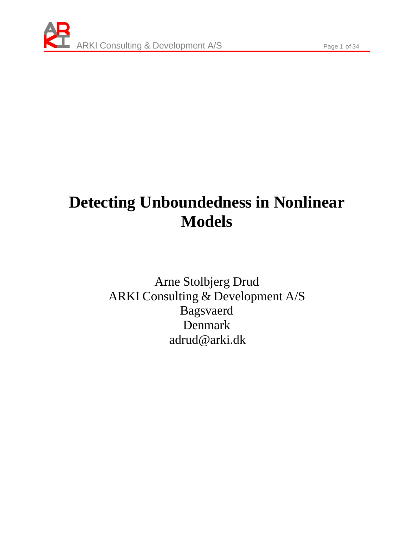

## **Detecting Unboundedness in Nonlinear Models**

Arne Stolbjerg Drud ARKI Consulting & Development A/S Bagsvaerd Denmark adrud@arki.dk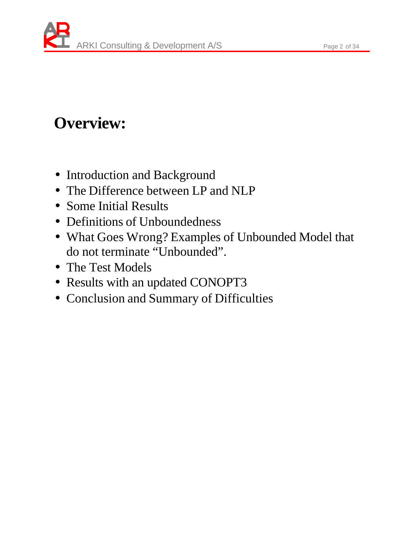## **Overview:**

- Introduction and Background
- The Difference between LP and NLP
- Some Initial Results
- Definitions of Unboundedness
- What Goes Wrong? Examples of Unbounded Model that do not terminate "Unbounded".
- The Test Models
- Results with an updated CONOPT3
- Conclusion and Summary of Difficulties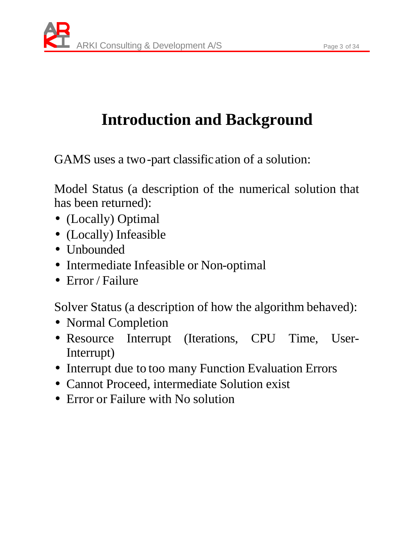# **Introduction and Background**

GAMS uses a two-part classification of a solution:

Model Status (a description of the numerical solution that has been returned):

- (Locally) Optimal
- (Locally) Infeasible
- Unbounded
- Intermediate Infeasible or Non-optimal
- Error / Failure

Solver Status (a description of how the algorithm behaved):

- Normal Completion
- Resource Interrupt (Iterations, CPU Time, User-Interrupt)
- Interrupt due to too many Function Evaluation Errors
- Cannot Proceed, intermediate Solution exist
- Error or Failure with No solution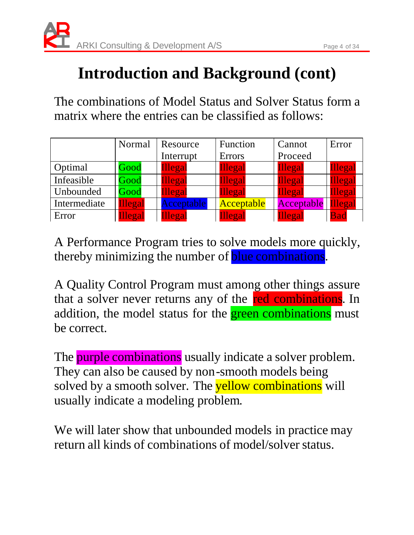## **Introduction and Background (cont)**

The combinations of Model Status and Solver Status form a matrix where the entries can be classified as follows:

|              | Normal         | Resource          | Function       | Cannot         | Error          |
|--------------|----------------|-------------------|----------------|----------------|----------------|
|              |                | Interrupt         | <b>Errors</b>  | Proceed        |                |
| Optimal      | Good           | <b>Illegal</b>    | <b>Illegal</b> | <b>Illegal</b> | <b>Illegal</b> |
| Infeasible   | Good           | <b>Illegal</b>    | <b>Illegal</b> | <b>Illegal</b> | <b>Illegal</b> |
| Unbounded    | Good           | <b>Illegal</b>    | <b>Illegal</b> | <b>Illegal</b> | <b>Illegal</b> |
| Intermediate | <b>Illegal</b> | <b>Acceptable</b> | Acceptable     | Acceptable     | <b>Illegal</b> |
| Error        | <b>Illegal</b> | <b>Illegal</b>    | <b>Illegal</b> | <b>Illegal</b> | Bad            |

A Performance Program tries to solve models more quickly, thereby minimizing the number of **blue combinations**.

A Quality Control Program must among other things assure that a solver never returns any of the red combinations. In addition, the model status for the **green combinations** must be correct.

The **purple combinations** usually indicate a solver problem. They can also be caused by non-smooth models being solved by a smooth solver. The **yellow combinations** will usually indicate a modeling problem.

We will later show that unbounded models in practice may return all kinds of combinations of model/solver status.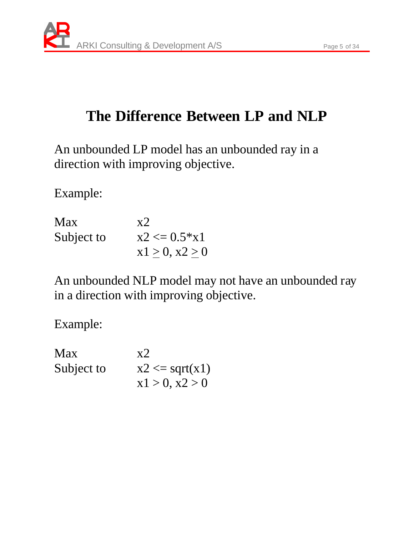### **The Difference Between LP and NLP**

An unbounded LP model has an unbounded ray in a direction with improving objective.

Example:

| Max        | $X^{\prime}$            |
|------------|-------------------------|
| Subject to | $x2 \leq 0.5 \times x1$ |
|            | x1 > 0, x2 > 0          |

An unbounded NLP model may not have an unbounded ray in a direction with improving objective.

Example:

| Max        | x2                 |
|------------|--------------------|
| Subject to | $x2 \leq sqrt(x1)$ |
|            | x1 > 0, x2 > 0     |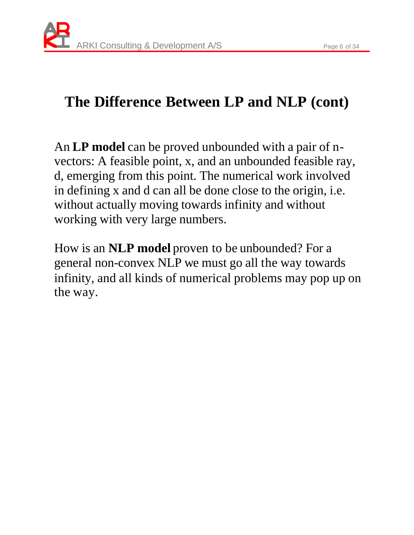## **The Difference Between LP and NLP (cont)**

An **LP model** can be proved unbounded with a pair of nvectors: A feasible point, x, and an unbounded feasible ray, d, emerging from this point. The numerical work involved in defining x and d can all be done close to the origin, i.e. without actually moving towards infinity and without working with very large numbers.

How is an **NLP model** proven to be unbounded? For a general non-convex NLP we must go all the way towards infinity, and all kinds of numerical problems may pop up on the way.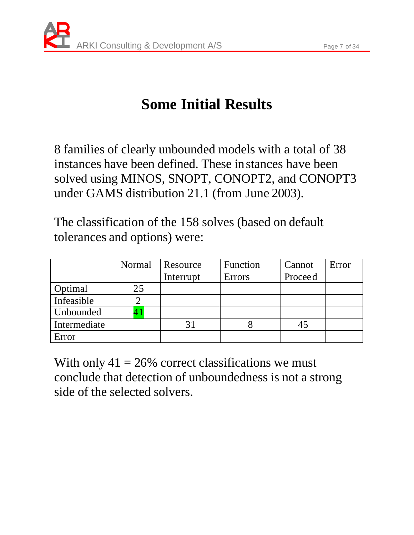### **Some Initial Results**

8 families of clearly unbounded models with a total of 38 instances have been defined. These instances have been solved using MINOS, SNOPT, CONOPT2, and CONOPT3 under GAMS distribution 21.1 (from June 2003).

The classification of the 158 solves (based on default tolerances and options) were:

|              | Normal | Resource  | Function | Cannot  | Error |
|--------------|--------|-----------|----------|---------|-------|
|              |        | Interrupt | Errors   | Proceed |       |
| Optimal      | 25     |           |          |         |       |
| Infeasible   |        |           |          |         |       |
| Unbounded    |        |           |          |         |       |
| Intermediate |        |           |          | 45      |       |
| Error        |        |           |          |         |       |

With only  $41 = 26\%$  correct classifications we must conclude that detection of unboundedness is not a strong side of the selected solvers.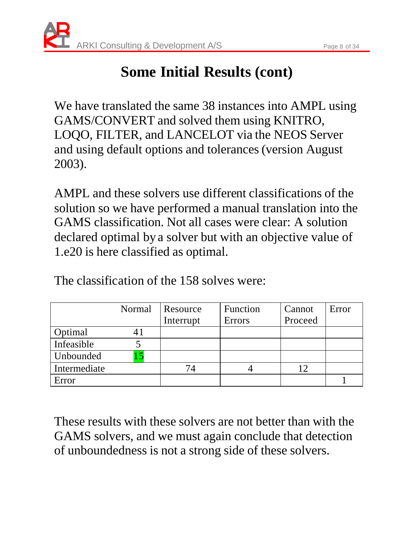

#### **Some Initial Results (cont)**

We have translated the same 38 instances into AMPL using GAMS/CONVERT and solved them using KNITRO, LOQO, FILTER, and LANCELOT via the NEOS Server and using default options and tolerances (version August 2003).

AMPL and these solvers use different classifications of the solution so we have performed a manual translation into the GAMS classification. Not all cases were clear: A solution declared optimal by a solver but with an objective value of 1.e20 is here classified as optimal.

The classification of the 158 solves were:

|              | Normal | <b>Resource</b> | Function      | Cannot  | Error |
|--------------|--------|-----------------|---------------|---------|-------|
|              |        | Interrupt       | <b>Errors</b> | Proceed |       |
| Optimal      |        |                 |               |         |       |
| Infeasible   |        |                 |               |         |       |
| Unbounded    |        |                 |               |         |       |
| Intermediate |        |                 |               | 17      |       |
| Error        |        |                 |               |         |       |

These results with these solvers are not better than with the GAMS solvers, and we must again conclude that detection of unboundedness is not a strong side of these solvers.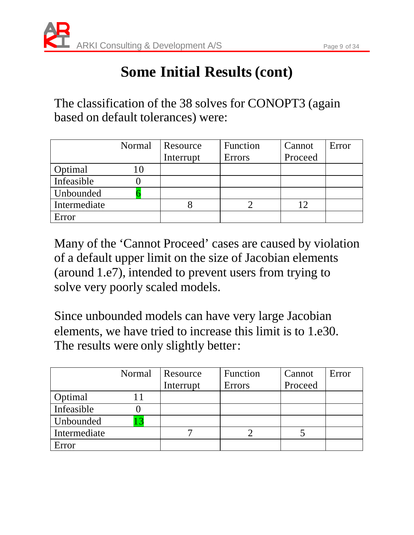

#### **Some Initial Results (cont)**

The classification of the 38 solves for CONOPT3 (again based on default tolerances) were:

|              | Normal | Resource  | Function      | Cannot  | Error |
|--------------|--------|-----------|---------------|---------|-------|
|              |        | Interrupt | <b>Errors</b> | Proceed |       |
| Optimal      |        |           |               |         |       |
| Infeasible   |        |           |               |         |       |
| Unbounded    |        |           |               |         |       |
| Intermediate |        |           |               | 12      |       |
| Error        |        |           |               |         |       |

Many of the 'Cannot Proceed' cases are caused by violation of a default upper limit on the size of Jacobian elements (around 1.e7), intended to prevent users from trying to solve very poorly scaled models.

Since unbounded models can have very large Jacobian elements, we have tried to increase this limit is to 1.e30. The results were only slightly better:

|              | Normal | Resource  | Function | Cannot  | Error |
|--------------|--------|-----------|----------|---------|-------|
|              |        | Interrupt | Errors   | Proceed |       |
| Optimal      |        |           |          |         |       |
| Infeasible   |        |           |          |         |       |
| Unbounded    |        |           |          |         |       |
| Intermediate |        |           |          |         |       |
| Error        |        |           |          |         |       |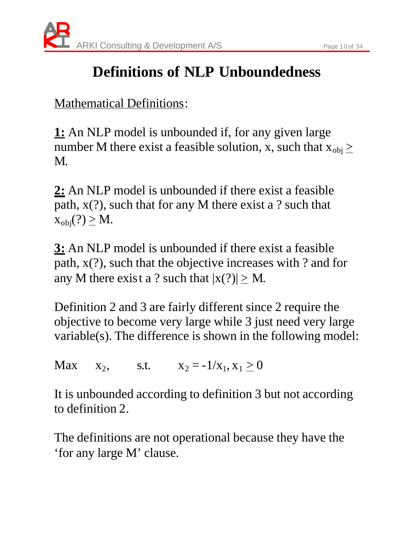## **Definitions of NLP Unboundedness**

Mathematical Definitions:

**1:** An NLP model is unbounded if, for any given large number M there exist a feasible solution, x, such that  $x_{obj} \geq$ M.

**2:** An NLP model is unbounded if there exist a feasible path,  $x(?)$ , such that for any M there exist a ? such that  $x_{\text{obj}}(?) \geq M$ .

**3:** An NLP model is unbounded if there exist a feasible path,  $x(?)$ , such that the objective increases with ? and for any M there exist a ? such that  $|x(?)| \ge M$ .

Definition 2 and 3 are fairly different since 2 require the objective to become very large while 3 just need very large variable(s). The difference is shown in the following model:

 $Max \t x_2$ , s.t.  $x_2 = -1/x_1, x_1 \ge 0$ 

It is unbounded according to definition 3 but not according to definition 2.

The definitions are not operational because they have the 'for any large M' clause.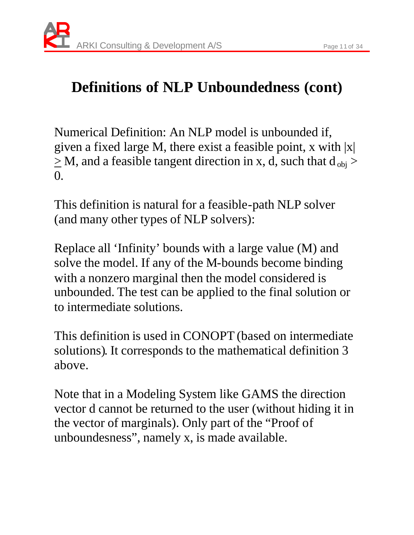## **Definitions of NLP Unboundedness (cont)**

Numerical Definition: An NLP model is unbounded if, given a fixed large M, there exist a feasible point, x with |x|  $\geq$  M, and a feasible tangent direction in x, d, such that d<sub>obi</sub>  $>$ 0.

This definition is natural for a feasible-path NLP solver (and many other types of NLP solvers):

Replace all 'Infinity' bounds with a large value (M) and solve the model. If any of the M-bounds become binding with a nonzero marginal then the model considered is unbounded. The test can be applied to the final solution or to intermediate solutions.

This definition is used in CONOPT (based on intermediate solutions). It corresponds to the mathematical definition 3 above.

Note that in a Modeling System like GAMS the direction vector d cannot be returned to the user (without hiding it in the vector of marginals). Only part of the "Proof of unboundesness", namely x, is made available.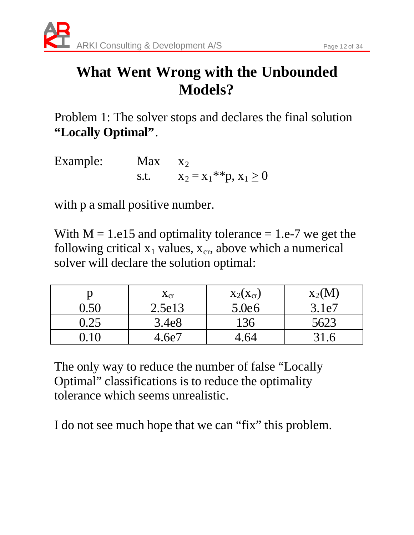#### **What Went Wrong with the Unbounded Models?**

Problem 1: The solver stops and declares the final solution **"Locally Optimal"**.

Example:  $Max \t x_2$ s.t.  $x_2 = x_1**p, x_1 \ge 0$ 

with p a small positive number.

With  $M = 1.e15$  and optimality tolerance  $= 1.e-7$  we get the following critical  $x_1$  values,  $x_{cr}$ , above which a numerical solver will declare the solution optimal:

|      | $X_{cr}$ | $X_2(X_{cr})$ |       |
|------|----------|---------------|-------|
| 0.50 | 2.5e13   | 5.0e6         | 3.1e7 |
| 0.25 | 3.4e8    | 136           | 5623  |
|      | 4.6e7    | .64           | 31.6  |

The only way to reduce the number of false "Locally Optimal" classifications is to reduce the optimality tolerance which seems unrealistic.

I do not see much hope that we can "fix" this problem.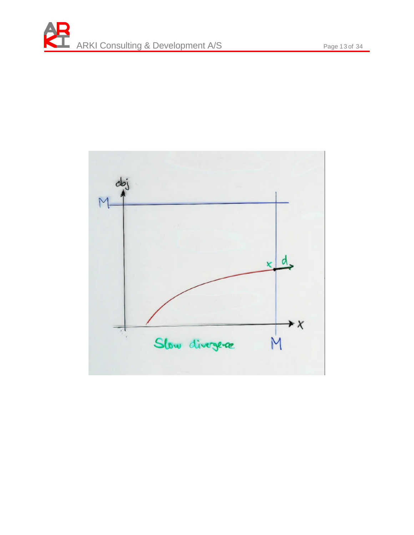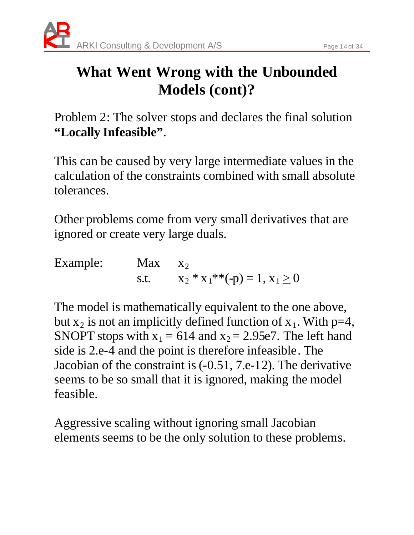

### **What Went Wrong with the Unbounded Models (cont)?**

Problem 2: The solver stops and declares the final solution **"Locally Infeasible"**.

This can be caused by very large intermediate values in the calculation of the constraints combined with small absolute tolerances.

Other problems come from very small derivatives that are ignored or create very large duals.

Example:  $Max \t x_2$ s.t.  $X_2 * X_1 * * (-p) = 1, X_1 > 0$ 

The model is mathematically equivalent to the one above, but  $x_2$  is not an implicitly defined function of  $x_1$ . With  $p=4$ , SNOPT stops with  $x_1 = 614$  and  $x_2 = 2.95e7$ . The left hand side is 2.e-4 and the point is therefore infeasible. The Jacobian of the constraint is (-0.51, 7.e-12). The derivative seems to be so small that it is ignored, making the model feasible.

Aggressive scaling without ignoring small Jacobian elements seems to be the only solution to these problems.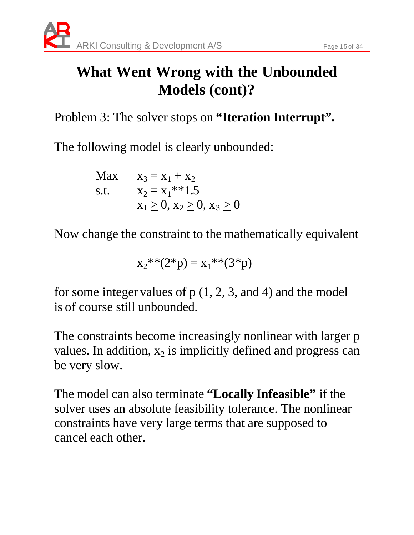#### **What Went Wrong with the Unbounded Models (cont)?**

Problem 3: The solver stops on **"Iteration Interrupt".**

The following model is clearly unbounded:

 $Max<sub>3</sub>$  $=$   $x_1 + x_2$ s.t.  $X_2 = X_1^{**}1.5$  $x_1 \geq 0, x_2 \geq 0, x_3 \geq 0$ 

Now change the constraint to the mathematically equivalent

$$
x_2^{**}(2^*p) = x_1^{**}(3^*p)
$$

for some integer values of  $p(1, 2, 3,$  and 4) and the model is of course still unbounded.

The constraints become increasingly nonlinear with larger p values. In addition,  $x_2$  is implicitly defined and progress can be very slow.

The model can also terminate **"Locally Infeasible"** if the solver uses an absolute feasibility tolerance. The nonlinear constraints have very large terms that are supposed to cancel each other.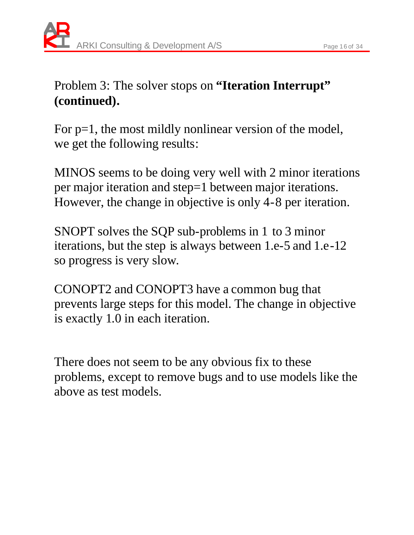

Problem 3: The solver stops on **"Iteration Interrupt" (continued).**

For  $p=1$ , the most mildly nonlinear version of the model, we get the following results:

MINOS seems to be doing very well with 2 minor iterations per major iteration and step=1 between major iterations. However, the change in objective is only 4-8 per iteration.

SNOPT solves the SQP sub-problems in 1 to 3 minor iterations, but the step is always between 1.e-5 and 1.e-12 so progress is very slow.

CONOPT2 and CONOPT3 have a common bug that prevents large steps for this model. The change in objective is exactly 1.0 in each iteration.

There does not seem to be any obvious fix to these problems, except to remove bugs and to use models like the above as test models.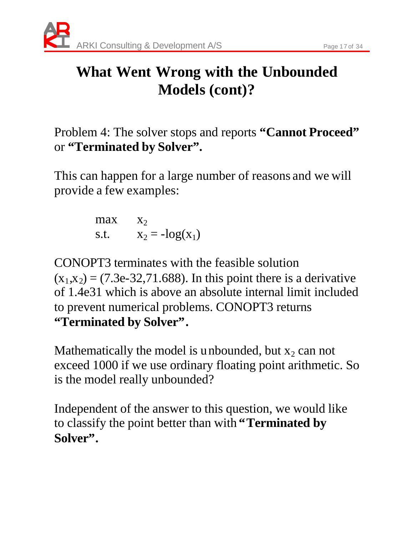

#### **What Went Wrong with the Unbounded Models (cont)?**

Problem 4: The solver stops and reports **"Cannot Proceed"** or **"Terminated by Solver".**

This can happen for a large number of reasons and we will provide a few examples:

> $max$   $x_2$  $s.t.$  $x_2 = -\log(x_1)$

CONOPT3 terminates with the feasible solution  $(x_1,x_2) = (7.3e-32,71.688)$ . In this point there is a derivative of 1.4e31 which is above an absolute internal limit included to prevent numerical problems. CONOPT3 returns **"Terminated by Solver".**

Mathematically the model is unbounded, but  $x_2$  can not exceed 1000 if we use ordinary floating point arithmetic. So is the model really unbounded?

Independent of the answer to this question, we would like to classify the point better than with **"Terminated by Solver".**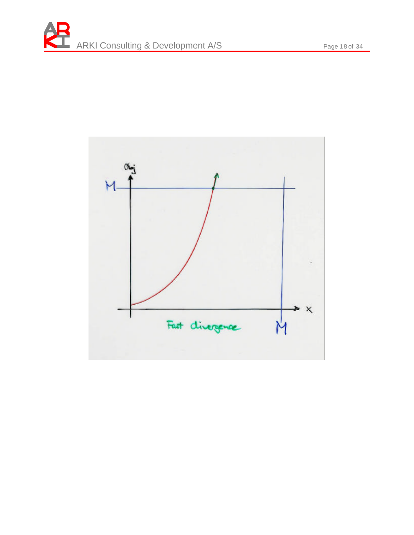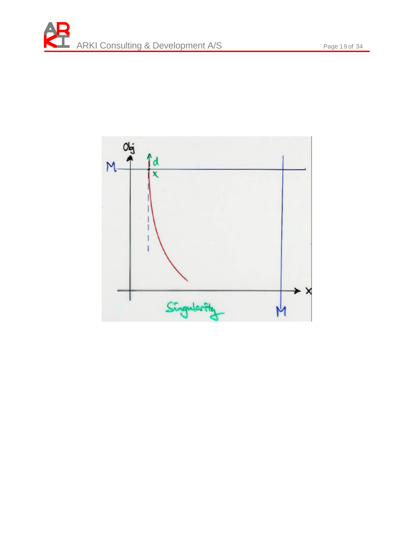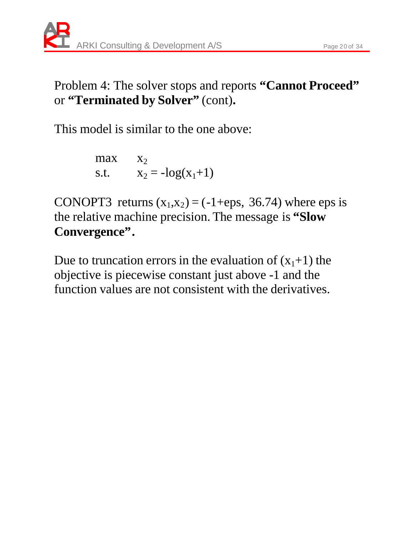

#### Problem 4: The solver stops and reports **"Cannot Proceed"** or **"Terminated by Solver"** (cont)**.**

This model is similar to the one above:

$$
\begin{array}{ll}\n\text{max} & x_2 \\
\text{s.t.} & x_2 = -\log(x_1+1)\n\end{array}
$$

CONOPT3 returns  $(x_1,x_2) = (-1+\epsilon ps, 36.74)$  where eps is the relative machine precision. The message is **"Slow Convergence".**

Due to truncation errors in the evaluation of  $(x_1+1)$  the objective is piecewise constant just above -1 and the function values are not consistent with the derivatives.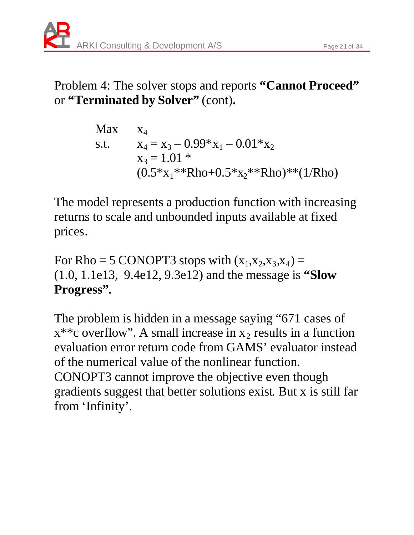#### Problem 4: The solver stops and reports **"Cannot Proceed"** or **"Terminated by Solver"** (cont)**.**

Max 
$$
x_4
$$
  
\ns.t.  $x_4 = x_3 - 0.99*x_1 - 0.01*x_2$   
\n $x_3 = 1.01 *$   
\n $(0.5*x_1**Rho+0.5*x_2**Rho)**(1/Rho)$ 

The model represents a production function with increasing returns to scale and unbounded inputs available at fixed prices.

For Rho = 5 CONOPT3 stops with  $(x_1,x_2,x_3,x_4)$  = (1.0, 1.1e13, 9.4e12, 9.3e12) and the message is **"Slow Progress".**

The problem is hidden in a message saying "671 cases of  $x^{**}$ c overflow". A small increase in  $x_2$  results in a function evaluation error return code from GAMS' evaluator instead of the numerical value of the nonlinear function. CONOPT3 cannot improve the objective even though gradients suggest that better solutions exist. But x is still far from 'Infinity'.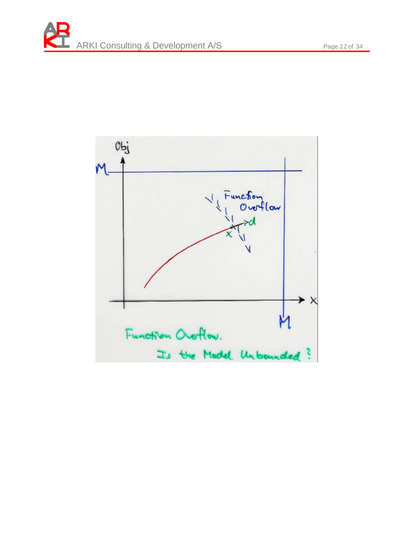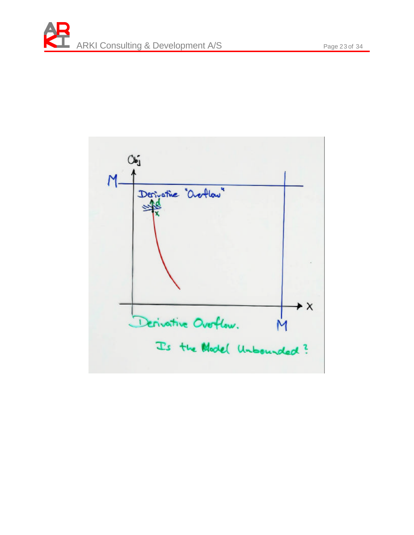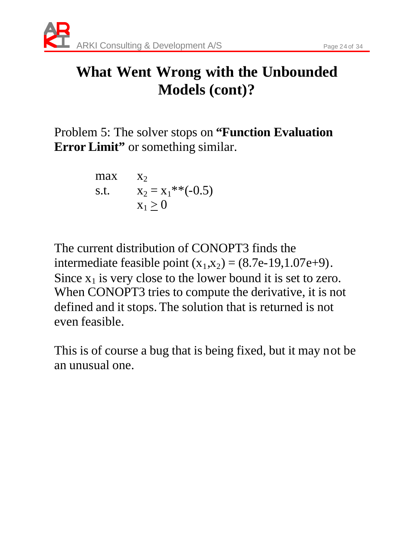

#### **What Went Wrong with the Unbounded Models (cont)?**

Problem 5: The solver stops on **"Function Evaluation Error Limit"** or something similar.

> $max$   $X_2$ s.t.  $x_2 = x_1^{**}(-0.5)$  $x_1 > 0$

The current distribution of CONOPT3 finds the intermediate feasible point  $(x_1,x_2) = (8.7e-19,1.07e+9)$ . Since  $x_1$  is very close to the lower bound it is set to zero. When CONOPT3 tries to compute the derivative, it is not defined and it stops. The solution that is returned is not even feasible.

This is of course a bug that is being fixed, but it may not be an unusual one.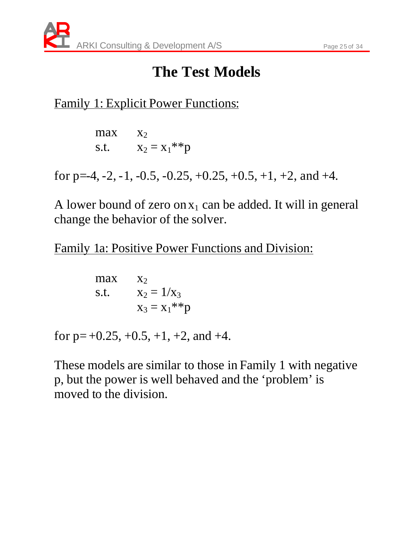#### **The Test Models**

#### Family 1: Explicit Power Functions:

 $max$   $X_2$ s.t.  $x_2 = x_1^{**}p$ 

for p=-4, -2, -1, -0.5, -0.25, +0.25, +0.5, +1, +2, and +4.

A lower bound of zero on  $x_1$  can be added. It will in general change the behavior of the solver.

Family 1a: Positive Power Functions and Division:

 $max$   $X_2$ s.t.  $x_2 = 1/x_3$  $x_3 = x_1$ \*\*p

for  $p=+0.25, +0.5, +1, +2,$  and  $+4$ .

These models are similar to those in Family 1 with negative p, but the power is well behaved and the 'problem' is moved to the division.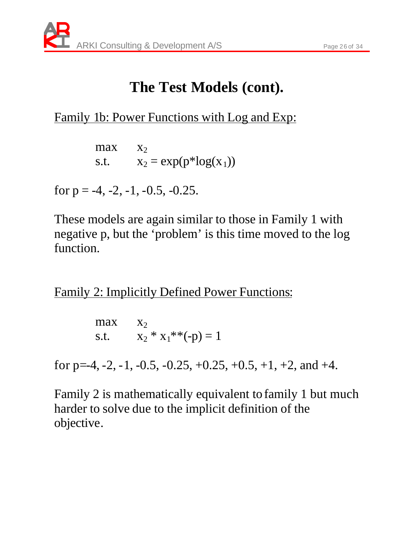#### Family 1b: Power Functions with Log and Exp:

 $max$   $X_2$ s.t.  $x_2 = exp(p * log(x_1))$ 

for  $p = -4, -2, -1, -0.5, -0.25$ .

These models are again similar to those in Family 1 with negative p, but the 'problem' is this time moved to the log function.

#### Family 2: Implicitly Defined Power Functions:

 $max$   $x_2$ s.t.  $X_2 * X_1 * * (-p) = 1$ 

for p=-4, -2, -1, -0.5, -0.25, +0.25, +0.5, +1, +2, and +4.

Family 2 is mathematically equivalent to family 1 but much harder to solve due to the implicit definition of the objective.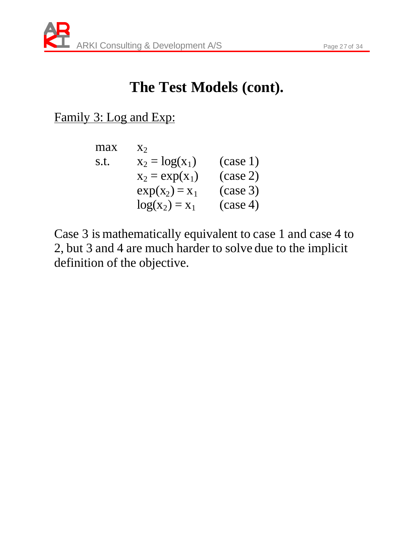Family 3: Log and Exp:

| max  | $X_2$             |             |
|------|-------------------|-------------|
| s.t. | $x_2 = log(x_1)$  | (case 1)    |
|      | $x_2 = exp(x_1)$  | (case 2)    |
|      | $exp(x_2) = x_1$  | $(\case 3)$ |
|      | $\log(x_2) = x_1$ | $(\case 4)$ |
|      |                   |             |

Case 3 is mathematically equivalent to case 1 and case 4 to 2, but 3 and 4 are much harder to solve due to the implicit definition of the objective.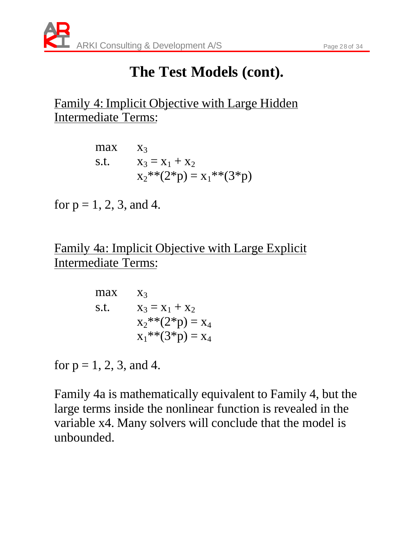Family 4: Implicit Objective with Large Hidden Intermediate Terms:

max 
$$
x_3
$$
  
s.t.  $x_3 = x_1 + x_2$   
 $x_2^{**}(2^*p) = x_1^{**}(3^*p)$ 

for  $p = 1, 2, 3,$  and 4.

Family 4a: Implicit Objective with Large Explicit Intermediate Terms:

max   
\ns.t. 
$$
x_3 = x_1 + x_2
$$
  
\n $x_2^{**}(2^*p) = x_4$   
\n $x_1^{**}(3^*p) = x_4$ 

for  $p = 1, 2, 3,$  and 4.

Family 4a is mathematically equivalent to Family 4, but the large terms inside the nonlinear function is revealed in the variable x4. Many solvers will conclude that the model is unbounded.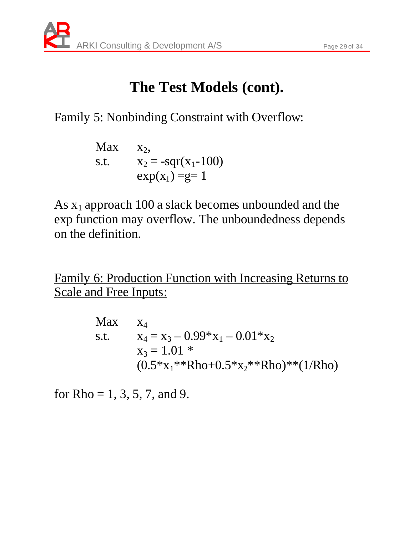#### Family 5: Nonbinding Constraint with Overflow:

Max 
$$
x_2
$$
,  
s.t.  $x_2 = -sqr(x_1-100)$   
 $exp(x_1) = g= 1$ 

As  $x_1$  approach 100 a slack becomes unbounded and the exp function may overflow. The unboundedness depends on the definition.

Family 6: Production Function with Increasing Returns to Scale and Free Inputs:

Max 
$$
x_4
$$
  
\ns.t.  $x_4 = x_3 - 0.99*x_1 - 0.01*x_2$   
\n $x_3 = 1.01 *$   
\n $(0.5*x_1**Rho+0.5*x_2**Rho)**(1/Rho)$ 

for Rho = 1, 3, 5, 7, and 9.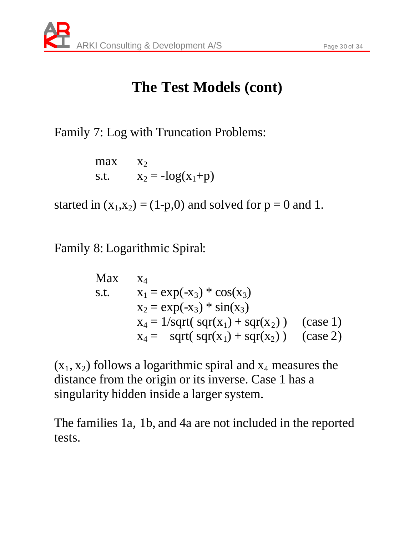Family 7: Log with Truncation Problems:

 $max$   $X_2$ s.t.  $x_2 = -\log(x_1+p)$ 

started in  $(x_1,x_2) = (1-p,0)$  and solved for  $p = 0$  and 1.

Family 8: Logarithmic Spiral:

Max 
$$
x_4
$$
  
\ns.t.  $x_1 = exp(-x_3) * cos(x_3)$   
\n $x_2 = exp(-x_3) * sin(x_3)$   
\n $x_4 = 1/sqrt(sqr(x_1) + sqr(x_2))$  (case 1)  
\n $x_4 = sqrt(sqr(x_1) + sqr(x_2))$  (case 2)

 $(x_1, x_2)$  follows a logarithmic spiral and  $x_4$  measures the distance from the origin or its inverse. Case 1 has a singularity hidden inside a larger system.

The families 1a, 1b, and 4a are not included in the reported tests.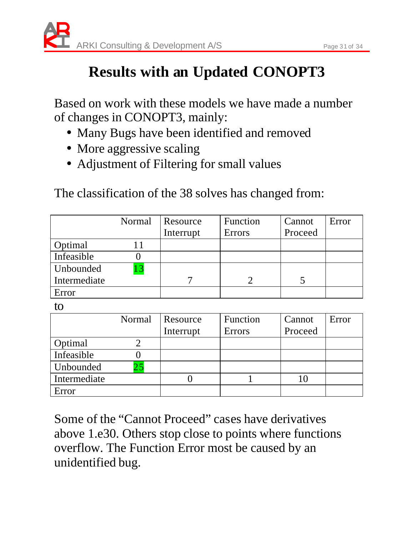## **Results with an Updated CONOPT3**

Based on work with these models we have made a number of changes in CONOPT3, mainly:

- Many Bugs have been identified and removed
- More aggressive scaling
- Adjustment of Filtering for small values

The classification of the 38 solves has changed from:

|              | Normal | Resource<br>Interrupt | Function<br>Errors | Cannot<br>Proceed | Error |
|--------------|--------|-----------------------|--------------------|-------------------|-------|
|              |        |                       |                    |                   |       |
| Optimal      |        |                       |                    |                   |       |
| Infeasible   |        |                       |                    |                   |       |
| Unbounded    | 13     |                       |                    |                   |       |
| Intermediate |        |                       |                    |                   |       |
| Error        |        |                       |                    |                   |       |

to

|              | Normal | Resource  | Function      | Cannot  | Error |
|--------------|--------|-----------|---------------|---------|-------|
|              |        | Interrupt | <b>Errors</b> | Proceed |       |
| Optimal      |        |           |               |         |       |
| Infeasible   |        |           |               |         |       |
| Unbounded    | 25     |           |               |         |       |
| Intermediate |        |           |               |         |       |
| Error        |        |           |               |         |       |

Some of the "Cannot Proceed" cases have derivatives above 1.e30. Others stop close to points where functions overflow. The Function Error most be caused by an unidentified bug.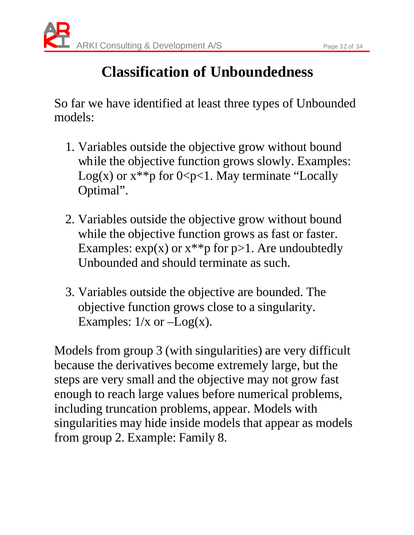### **Classification of Unboundedness**

So far we have identified at least three types of Unbounded models:

- 1. Variables outside the objective grow without bound while the objective function grows slowly. Examples: Log(x) or  $x^{**}p$  for  $0 < p < 1$ . May terminate "Locally" Optimal".
- 2. Variables outside the objective grow without bound while the objective function grows as fast or faster. Examples:  $exp(x)$  or  $x^{**}p$  for  $p>1$ . Are undoubtedly Unbounded and should terminate as such.
- 3. Variables outside the objective are bounded. The objective function grows close to a singularity. Examples:  $1/x$  or  $-Log(x)$ .

Models from group 3 (with singularities) are very difficult because the derivatives become extremely large, but the steps are very small and the objective may not grow fast enough to reach large values before numerical problems, including truncation problems, appear. Models with singularities may hide inside models that appear as models from group 2. Example: Family 8.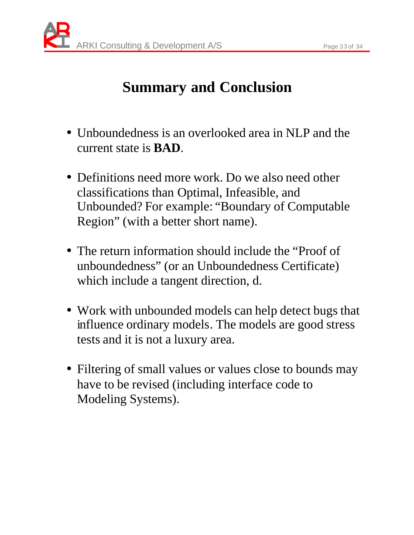

#### **Summary and Conclusion**

- Unboundedness is an overlooked area in NLP and the current state is **BAD**.
- Definitions need more work. Do we also need other classifications than Optimal, Infeasible, and Unbounded? For example: "Boundary of Computable Region" (with a better short name).
- The return information should include the "Proof of unboundedness" (or an Unboundedness Certificate) which include a tangent direction, d.
- Work with unbounded models can help detect bugs that influence ordinary models. The models are good stress tests and it is not a luxury area.
- Filtering of small values or values close to bounds may have to be revised (including interface code to Modeling Systems).